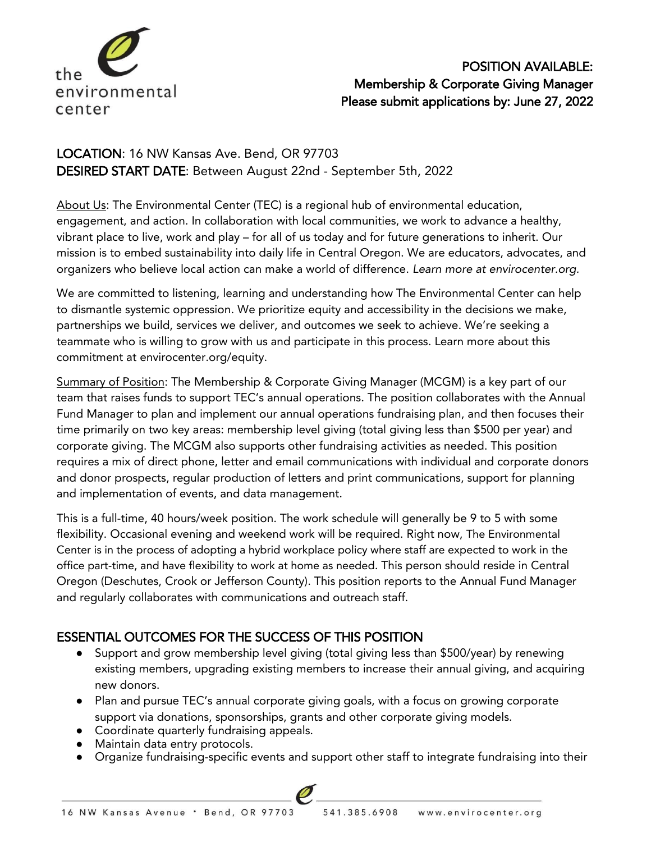

# POSITION AVAILABLE: Membership & Corporate Giving Manager Please submit applications by: June 27, 2022

# LOCATION: 16 NW Kansas Ave. Bend, OR 97703 DESIRED START DATE: Between August 22nd - September 5th, 2022

About Us: The Environmental Center (TEC) is a regional hub of environmental education, engagement, and action. In collaboration with local communities, we work to advance a healthy, vibrant place to live, work and play – for all of us today and for future generations to inherit. Our mission is to embed sustainability into daily life in Central Oregon. We are educators, advocates, and organizers who believe local action can make a world of difference. *Learn more at envirocenter.org.* 

We are committed to listening, learning and understanding how The Environmental Center can help to dismantle systemic oppression. We prioritize equity and accessibility in the decisions we make, partnerships we build, services we deliver, and outcomes we seek to achieve. We're seeking a teammate who is willing to grow with us and participate in this process. Learn more about this commitment at envirocenter.org/equity.

Summary of Position: The Membership & Corporate Giving Manager (MCGM) is a key part of our team that raises funds to support TEC's annual operations. The position collaborates with the Annual Fund Manager to plan and implement our annual operations fundraising plan, and then focuses their time primarily on two key areas: membership level giving (total giving less than \$500 per year) and corporate giving. The MCGM also supports other fundraising activities as needed. This position requires a mix of direct phone, letter and email communications with individual and corporate donors and donor prospects, regular production of letters and print communications, support for planning and implementation of events, and data management.

This is a full-time, 40 hours/week position. The work schedule will generally be 9 to 5 with some flexibility. Occasional evening and weekend work will be required. Right now, The Environmental Center is in the process of adopting a hybrid workplace policy where staff are expected to work in the office part-time, and have flexibility to work at home as needed. This person should reside in Central Oregon (Deschutes, Crook or Jefferson County). This position reports to the Annual Fund Manager and regularly collaborates with communications and outreach staff.

# ESSENTIAL OUTCOMES FOR THE SUCCESS OF THIS POSITION

- Support and grow membership level giving (total giving less than \$500/year) by renewing existing members, upgrading existing members to increase their annual giving, and acquiring new donors.
- Plan and pursue TEC's annual corporate giving goals, with a focus on growing corporate support via donations, sponsorships, grants and other corporate giving models.
- Coordinate quarterly fundraising appeals.
- Maintain data entry protocols.
- Organize fundraising-specific events and support other staff to integrate fundraising into their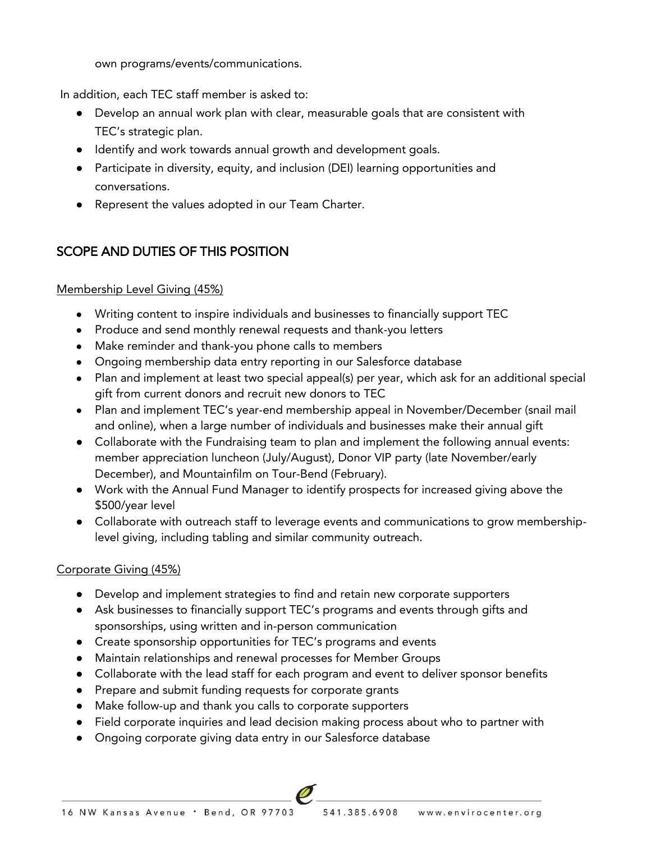own programs/events/communications.

In addition, each TEC staff member is asked to:

- Develop an annual work plan with clear, measurable goals that are consistent with TEC's strategic plan.
- Identify and work towards annual growth and development goals.
- Participate in diversity, equity, and inclusion (DEI) learning opportunities and conversations.
- Represent the values adopted in our Team Charter.

### SCOPE AND DUTIES OF THIS POSITION

#### Membership Level Giving (45%)

- Writing content to inspire individuals and businesses to financially support TEC
- Produce and send monthly renewal requests and thank-you letters
- Make reminder and thank-you phone calls to members
- Ongoing membership data entry reporting in our Salesforce database
- Plan and implement at least two special appeal(s) per year, which ask for an additional special gift from current donors and recruit new donors to TEC
- Plan and implement TEC's year-end membership appeal in November/December (snail mail and online), when a large number of individuals and businesses make their annual gift
- Collaborate with the Fundraising team to plan and implement the following annual events: member appreciation luncheon (July/August), Donor VIP party (late November/early December), and Mountainfilm on Tour-Bend (February).
- Work with the Annual Fund Manager to identify prospects for increased giving above the \$500/year level
- Collaborate with outreach staff to leverage events and communications to grow membershiplevel giving, including tabling and similar community outreach.

#### Corporate Giving (45%)

- Develop and implement strategies to find and retain new corporate supporters
- Ask businesses to financially support TEC's programs and events through gifts and sponsorships, using written and in-person communication
- Create sponsorship opportunities for TEC's programs and events
- Maintain relationships and renewal processes for Member Groups
- Collaborate with the lead staff for each program and event to deliver sponsor benefits
- Prepare and submit funding requests for corporate grants
- Make follow-up and thank you calls to corporate supporters
- Field corporate inquiries and lead decision making process about who to partner with
- Ongoing corporate giving data entry in our Salesforce database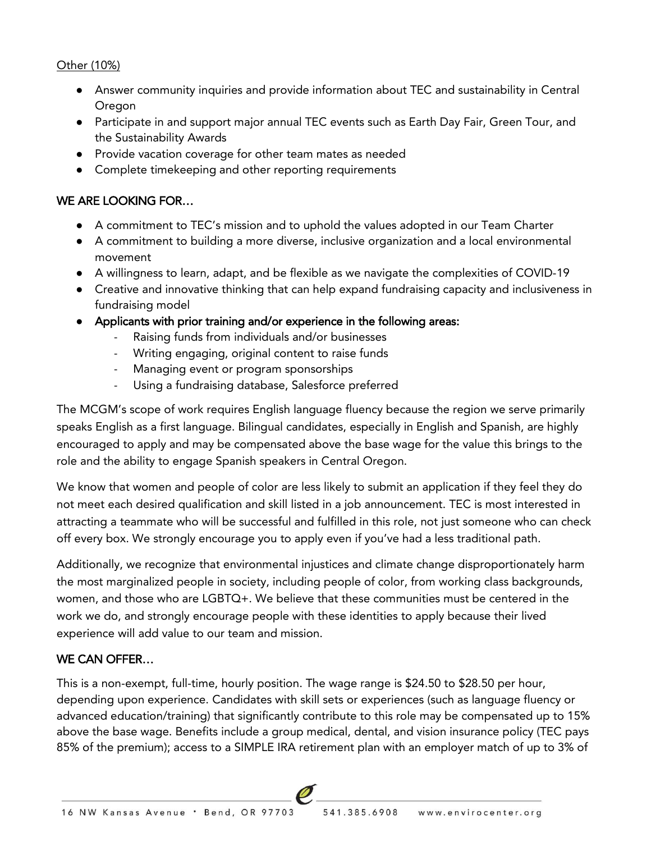#### Other (10%)

- Answer community inquiries and provide information about TEC and sustainability in Central **Oregon**
- Participate in and support major annual TEC events such as Earth Day Fair, Green Tour, and the Sustainability Awards
- Provide vacation coverage for other team mates as needed
- Complete timekeeping and other reporting requirements

### WE ARE LOOKING FOR…

- A commitment to TEC's mission and to uphold the values adopted in our Team Charter
- A commitment to building a more diverse, inclusive organization and a local environmental movement
- A willingness to learn, adapt, and be flexible as we navigate the complexities of COVID-19
- Creative and innovative thinking that can help expand fundraising capacity and inclusiveness in fundraising model
- Applicants with prior training and/or experience in the following areas:
	- Raising funds from individuals and/or businesses
	- Writing engaging, original content to raise funds
	- Managing event or program sponsorships
	- Using a fundraising database, Salesforce preferred

The MCGM's scope of work requires English language fluency because the region we serve primarily speaks English as a first language. Bilingual candidates, especially in English and Spanish, are highly encouraged to apply and may be compensated above the base wage for the value this brings to the role and the ability to engage Spanish speakers in Central Oregon.

We know that women and people of color are less likely to submit an application if they feel they do not meet each desired qualification and skill listed in a job announcement. TEC is most interested in attracting a teammate who will be successful and fulfilled in this role, not just someone who can check off every box. We strongly encourage you to apply even if you've had a less traditional path.

Additionally, we recognize that environmental injustices and climate change disproportionately harm the most marginalized people in society, including people of color, from working class backgrounds, women, and those who are LGBTQ+. We believe that these communities must be centered in the work we do, and strongly encourage people with these identities to apply because their lived experience will add value to our team and mission.

### WE CAN OFFER…

This is a non-exempt, full-time, hourly position. The wage range is \$24.50 to \$28.50 per hour, depending upon experience. Candidates with skill sets or experiences (such as language fluency or advanced education/training) that significantly contribute to this role may be compensated up to 15% above the base wage. Benefits include a group medical, dental, and vision insurance policy (TEC pays 85% of the premium); access to a SIMPLE IRA retirement plan with an employer match of up to 3% of